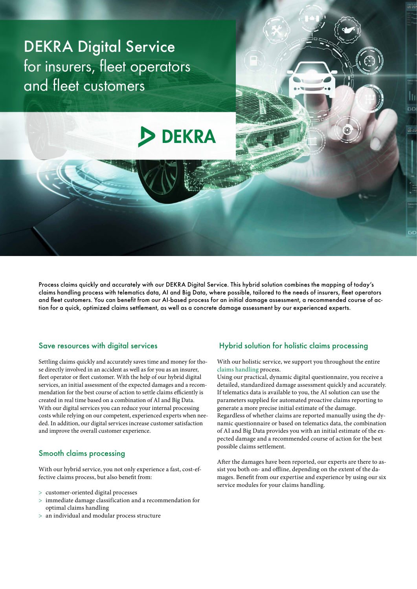# DEKRA Digital Service for insurers, fleet operators and fleet customers

# **DEKRA**

Process claims quickly and accurately with our DEKRA Digital Service. This hybrid solution combines the mapping of today's claims handling process with telematics data, AI and Big Data, where possible, tailored to the needs of insurers, fleet operators and fleet customers. You can benefit from our AI-based process for an initial damage assessment, a recommended course of action for a quick, optimized claims settlement, as well as a concrete damage assessment by our experienced experts.

# Save resources with digital services

Settling claims quickly and accurately saves time and money for those directly involved in an accident as well as for you as an insurer, fleet operator or fleet customer. With the help of our hybrid digital services, an initial assessment of the expected damages and a recommendation for the best course of action to settle claims efficiently is created in real time based on a combination of AI and Big Data. With our digital services you can reduce your internal processing costs while relying on our competent, experienced experts when needed. In addition, our digital services increase customer satisfaction and improve the overall customer experience.

## Smooth claims processing

With our hybrid service, you not only experience a fast, cost-effective claims process, but also benefit from:

- > customer-oriented digital processes
- > immediate damage classification and a recommendation for optimal claims handling
- > an individual and modular process structure

## Hybrid solution for holistic claims processing

With our holistic service, we support you throughout the entire [claims handling](https://www.dekra.com/en/automotive-claims-handling/) process.

Using our practical, dynamic digital questionnaire, you receive a detailed, standardized damage assessment quickly and accurately. If telematics data is available to you, the AI solution can use the parameters supplied for automated proactive claims reporting to generate a more precise initial estimate of the damage. Regardless of whether claims are reported manually using the dynamic questionnaire or based on telematics data, the combination of AI and Big Data provides you with an initial estimate of the expected damage and a recommended course of action for the best possible claims settlement.

After the damages have been reported, our experts are there to assist you both on- and offline, depending on the extent of the damages. Benefit from our expertise and experience by using our six service modules for your claims handling.